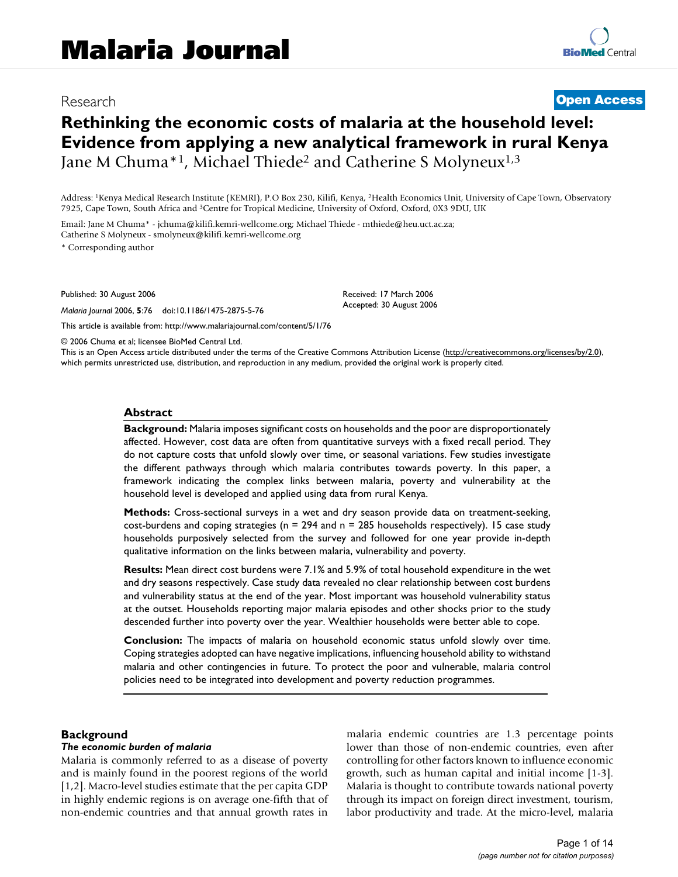# Research **[Open Access](http://www.biomedcentral.com/info/about/charter/)**

# **Rethinking the economic costs of malaria at the household level: Evidence from applying a new analytical framework in rural Kenya** Jane M Chuma<sup>\*1</sup>, Michael Thiede<sup>2</sup> and Catherine S Molyneux<sup>1,3</sup>

Address: 1Kenya Medical Research Institute (KEMRI), P.O Box 230, Kilifi, Kenya, 2Health Economics Unit, University of Cape Town, Observatory 7925, Cape Town, South Africa and 3Centre for Tropical Medicine, University of Oxford, Oxford, 0X3 9DU, UK

Email: Jane M Chuma\* - jchuma@kilifi.kemri-wellcome.org; Michael Thiede - mthiede@heu.uct.ac.za; Catherine S Molyneux - smolyneux@kilifi.kemri-wellcome.org

\* Corresponding author

Published: 30 August 2006

*Malaria Journal* 2006, **5**:76 doi:10.1186/1475-2875-5-76

[This article is available from: http://www.malariajournal.com/content/5/1/76](http://www.malariajournal.com/content/5/1/76)

© 2006 Chuma et al; licensee BioMed Central Ltd.

This is an Open Access article distributed under the terms of the Creative Commons Attribution License [\(http://creativecommons.org/licenses/by/2.0\)](http://creativecommons.org/licenses/by/2.0), which permits unrestricted use, distribution, and reproduction in any medium, provided the original work is properly cited.

Received: 17 March 2006 Accepted: 30 August 2006

#### **Abstract**

**Background:** Malaria imposes significant costs on households and the poor are disproportionately affected. However, cost data are often from quantitative surveys with a fixed recall period. They do not capture costs that unfold slowly over time, or seasonal variations. Few studies investigate the different pathways through which malaria contributes towards poverty. In this paper, a framework indicating the complex links between malaria, poverty and vulnerability at the household level is developed and applied using data from rural Kenya.

**Methods:** Cross-sectional surveys in a wet and dry season provide data on treatment-seeking, cost-burdens and coping strategies (n = 294 and n = 285 households respectively). 15 case study households purposively selected from the survey and followed for one year provide in-depth qualitative information on the links between malaria, vulnerability and poverty.

**Results:** Mean direct cost burdens were 7.1% and 5.9% of total household expenditure in the wet and dry seasons respectively. Case study data revealed no clear relationship between cost burdens and vulnerability status at the end of the year. Most important was household vulnerability status at the outset. Households reporting major malaria episodes and other shocks prior to the study descended further into poverty over the year. Wealthier households were better able to cope.

**Conclusion:** The impacts of malaria on household economic status unfold slowly over time. Coping strategies adopted can have negative implications, influencing household ability to withstand malaria and other contingencies in future. To protect the poor and vulnerable, malaria control policies need to be integrated into development and poverty reduction programmes.

#### **Background**

#### *The economic burden of malaria*

Malaria is commonly referred to as a disease of poverty and is mainly found in the poorest regions of the world [1,2]. Macro-level studies estimate that the per capita GDP in highly endemic regions is on average one-fifth that of non-endemic countries and that annual growth rates in malaria endemic countries are 1.3 percentage points lower than those of non-endemic countries, even after controlling for other factors known to influence economic growth, such as human capital and initial income [1-3]. Malaria is thought to contribute towards national poverty through its impact on foreign direct investment, tourism, labor productivity and trade. At the micro-level, malaria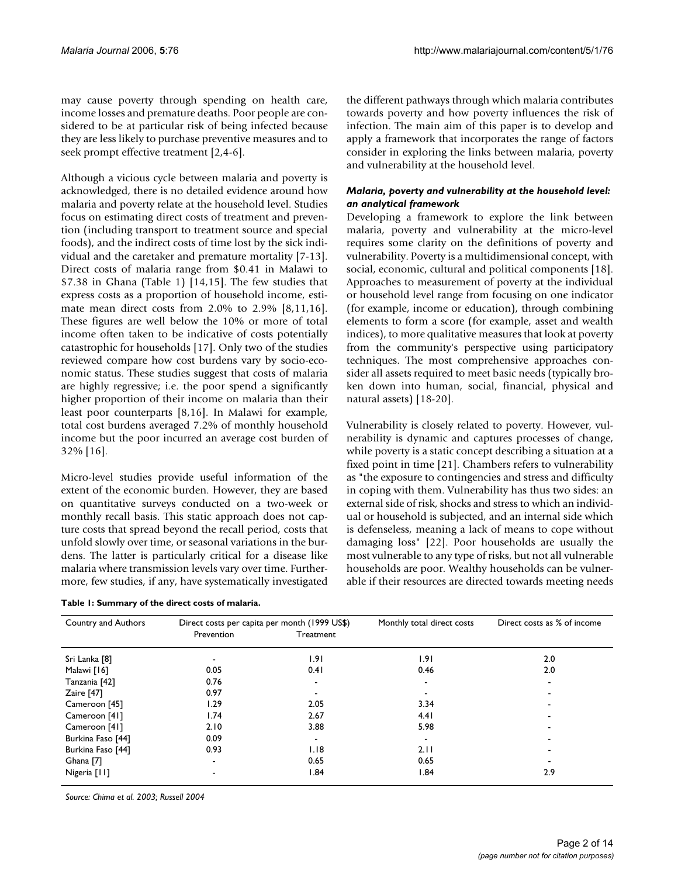may cause poverty through spending on health care, income losses and premature deaths. Poor people are considered to be at particular risk of being infected because they are less likely to purchase preventive measures and to seek prompt effective treatment [2,4-6].

Although a vicious cycle between malaria and poverty is acknowledged, there is no detailed evidence around how malaria and poverty relate at the household level. Studies focus on estimating direct costs of treatment and prevention (including transport to treatment source and special foods), and the indirect costs of time lost by the sick individual and the caretaker and premature mortality [7-13]. Direct costs of malaria range from \$0.41 in Malawi to \$7.38 in Ghana (Table 1) [14,15]. The few studies that express costs as a proportion of household income, estimate mean direct costs from 2.0% to 2.9% [8,11,16]. These figures are well below the 10% or more of total income often taken to be indicative of costs potentially catastrophic for households [17]. Only two of the studies reviewed compare how cost burdens vary by socio-economic status. These studies suggest that costs of malaria are highly regressive; i.e. the poor spend a significantly higher proportion of their income on malaria than their least poor counterparts [8,16]. In Malawi for example, total cost burdens averaged 7.2% of monthly household income but the poor incurred an average cost burden of 32% [16].

Micro-level studies provide useful information of the extent of the economic burden. However, they are based on quantitative surveys conducted on a two-week or monthly recall basis. This static approach does not capture costs that spread beyond the recall period, costs that unfold slowly over time, or seasonal variations in the burdens. The latter is particularly critical for a disease like malaria where transmission levels vary over time. Furthermore, few studies, if any, have systematically investigated

|  | Table 1: Summary of the direct costs of malaria. |
|--|--------------------------------------------------|
|--|--------------------------------------------------|

the different pathways through which malaria contributes towards poverty and how poverty influences the risk of infection. The main aim of this paper is to develop and apply a framework that incorporates the range of factors consider in exploring the links between malaria, poverty and vulnerability at the household level.

#### *Malaria, poverty and vulnerability at the household level: an analytical framework*

Developing a framework to explore the link between malaria, poverty and vulnerability at the micro-level requires some clarity on the definitions of poverty and vulnerability. Poverty is a multidimensional concept, with social, economic, cultural and political components [18]. Approaches to measurement of poverty at the individual or household level range from focusing on one indicator (for example, income or education), through combining elements to form a score (for example, asset and wealth indices), to more qualitative measures that look at poverty from the community's perspective using participatory techniques. The most comprehensive approaches consider all assets required to meet basic needs (typically broken down into human, social, financial, physical and natural assets) [18-20].

Vulnerability is closely related to poverty. However, vulnerability is dynamic and captures processes of change, while poverty is a static concept describing a situation at a fixed point in time [21]. Chambers refers to vulnerability as "the exposure to contingencies and stress and difficulty in coping with them. Vulnerability has thus two sides: an external side of risk, shocks and stress to which an individual or household is subjected, and an internal side which is defenseless, meaning a lack of means to cope without damaging loss" [22]. Poor households are usually the most vulnerable to any type of risks, but not all vulnerable households are poor. Wealthy households can be vulnerable if their resources are directed towards meeting needs

| Country and Authors |                          | Direct costs per capita per month (1999 US\$) | Monthly total direct costs | Direct costs as % of income |  |
|---------------------|--------------------------|-----------------------------------------------|----------------------------|-----------------------------|--|
|                     | Prevention               | Treatment                                     |                            |                             |  |
| Sri Lanka [8]       |                          | 1.91                                          | 1.91                       | 2.0                         |  |
| Malawi [16]         | 0.05                     | 0.41                                          | 0.46                       | 2.0                         |  |
| Tanzania [42]       | 0.76                     | $\blacksquare$                                |                            |                             |  |
| Zaire [47]          | 0.97                     |                                               |                            |                             |  |
| Cameroon [45]       | 1.29                     | 2.05                                          | 3.34                       |                             |  |
| Cameroon [41]       | 1.74                     | 2.67                                          | 4.41                       |                             |  |
| Cameroon [41]       | 2.10                     | 3.88                                          | 5.98                       |                             |  |
| Burkina Faso [44]   | 0.09                     | $\blacksquare$                                |                            |                             |  |
| Burkina Faso [44]   | 0.93                     | 1.18                                          | 2.11                       |                             |  |
| Ghana [7]           | $\overline{\phantom{a}}$ | 0.65                                          | 0.65                       |                             |  |
| Nigeria [11]        |                          | I.84                                          | 1.84                       | 2.9                         |  |

*Source: Chima et al. 2003; Russell 2004*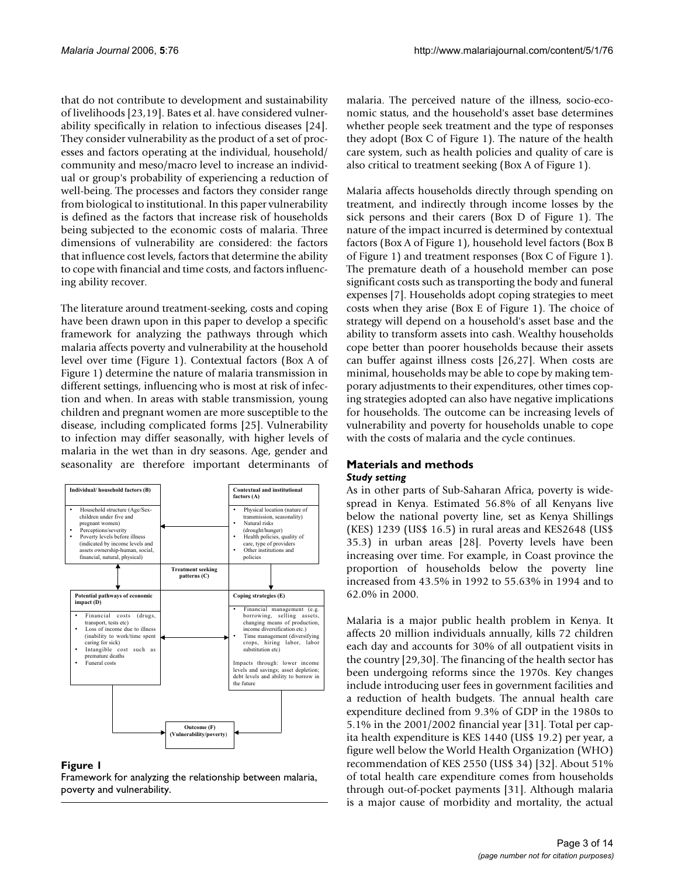that do not contribute to development and sustainability of livelihoods [23,19]. Bates et al. have considered vulnerability specifically in relation to infectious diseases [24]. They consider vulnerability as the product of a set of processes and factors operating at the individual, household/ community and meso/macro level to increase an individual or group's probability of experiencing a reduction of well-being. The processes and factors they consider range from biological to institutional. In this paper vulnerability is defined as the factors that increase risk of households being subjected to the economic costs of malaria. Three dimensions of vulnerability are considered: the factors that influence cost levels, factors that determine the ability to cope with financial and time costs, and factors influencing ability recover.

The literature around treatment-seeking, costs and coping have been drawn upon in this paper to develop a specific framework for analyzing the pathways through which malaria affects poverty and vulnerability at the household level over time (Figure 1). Contextual factors (Box A of Figure 1) determine the nature of malaria transmission in different settings, influencing who is most at risk of infection and when. In areas with stable transmission, young children and pregnant women are more susceptible to the disease, including complicated forms [25]. Vulnerability to infection may differ seasonally, with higher levels of malaria in the wet than in dry seasons. Age, gender and seasonality are therefore important determinants of



#### Figure 1

Framework for analyzing the relationship between malaria, poverty and vulnerability.

malaria. The perceived nature of the illness, socio-economic status, and the household's asset base determines whether people seek treatment and the type of responses they adopt (Box C of Figure 1). The nature of the health care system, such as health policies and quality of care is also critical to treatment seeking (Box A of Figure 1).

Malaria affects households directly through spending on treatment, and indirectly through income losses by the sick persons and their carers (Box D of Figure 1). The nature of the impact incurred is determined by contextual factors (Box A of Figure 1), household level factors (Box B of Figure 1) and treatment responses (Box C of Figure 1). The premature death of a household member can pose significant costs such as transporting the body and funeral expenses [7]. Households adopt coping strategies to meet costs when they arise (Box E of Figure 1). The choice of strategy will depend on a household's asset base and the ability to transform assets into cash. Wealthy households cope better than poorer households because their assets can buffer against illness costs [26,27]. When costs are minimal, households may be able to cope by making temporary adjustments to their expenditures, other times coping strategies adopted can also have negative implications for households. The outcome can be increasing levels of vulnerability and poverty for households unable to cope with the costs of malaria and the cycle continues.

### **Materials and methods** *Study setting*

As in other parts of Sub-Saharan Africa, poverty is widespread in Kenya. Estimated 56.8% of all Kenyans live below the national poverty line, set as Kenya Shillings (KES) 1239 (US\$ 16.5) in rural areas and KES2648 (US\$ 35.3) in urban areas [28]. Poverty levels have been increasing over time. For example, in Coast province the proportion of households below the poverty line increased from 43.5% in 1992 to 55.63% in 1994 and to 62.0% in 2000.

Malaria is a major public health problem in Kenya. It affects 20 million individuals annually, kills 72 children each day and accounts for 30% of all outpatient visits in the country [29,30]. The financing of the health sector has been undergoing reforms since the 1970s. Key changes include introducing user fees in government facilities and a reduction of health budgets. The annual health care expenditure declined from 9.3% of GDP in the 1980s to 5.1% in the 2001/2002 financial year [31]. Total per capita health expenditure is KES 1440 (US\$ 19.2) per year, a figure well below the World Health Organization (WHO) recommendation of KES 2550 (US\$ 34) [32]. About 51% of total health care expenditure comes from households through out-of-pocket payments [31]. Although malaria is a major cause of morbidity and mortality, the actual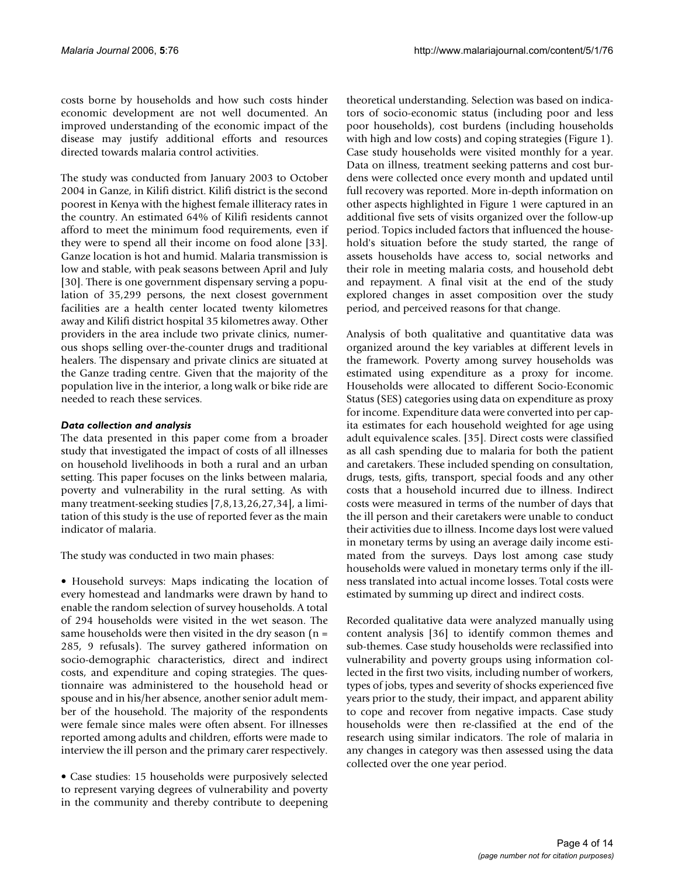costs borne by households and how such costs hinder economic development are not well documented. An improved understanding of the economic impact of the disease may justify additional efforts and resources directed towards malaria control activities.

The study was conducted from January 2003 to October 2004 in Ganze, in Kilifi district. Kilifi district is the second poorest in Kenya with the highest female illiteracy rates in the country. An estimated 64% of Kilifi residents cannot afford to meet the minimum food requirements, even if they were to spend all their income on food alone [33]. Ganze location is hot and humid. Malaria transmission is low and stable, with peak seasons between April and July [30]. There is one government dispensary serving a population of 35,299 persons, the next closest government facilities are a health center located twenty kilometres away and Kilifi district hospital 35 kilometres away. Other providers in the area include two private clinics, numerous shops selling over-the-counter drugs and traditional healers. The dispensary and private clinics are situated at the Ganze trading centre. Given that the majority of the population live in the interior, a long walk or bike ride are needed to reach these services.

#### *Data collection and analysis*

The data presented in this paper come from a broader study that investigated the impact of costs of all illnesses on household livelihoods in both a rural and an urban setting. This paper focuses on the links between malaria, poverty and vulnerability in the rural setting. As with many treatment-seeking studies [7,8,13,26,27,34], a limitation of this study is the use of reported fever as the main indicator of malaria.

The study was conducted in two main phases:

• Household surveys: Maps indicating the location of every homestead and landmarks were drawn by hand to enable the random selection of survey households. A total of 294 households were visited in the wet season. The same households were then visited in the dry season  $(n =$ 285, 9 refusals). The survey gathered information on socio-demographic characteristics, direct and indirect costs, and expenditure and coping strategies. The questionnaire was administered to the household head or spouse and in his/her absence, another senior adult member of the household. The majority of the respondents were female since males were often absent. For illnesses reported among adults and children, efforts were made to interview the ill person and the primary carer respectively.

• Case studies: 15 households were purposively selected to represent varying degrees of vulnerability and poverty in the community and thereby contribute to deepening theoretical understanding. Selection was based on indicators of socio-economic status (including poor and less poor households), cost burdens (including households with high and low costs) and coping strategies (Figure 1). Case study households were visited monthly for a year. Data on illness, treatment seeking patterns and cost burdens were collected once every month and updated until full recovery was reported. More in-depth information on other aspects highlighted in Figure 1 were captured in an additional five sets of visits organized over the follow-up period. Topics included factors that influenced the household's situation before the study started, the range of assets households have access to, social networks and their role in meeting malaria costs, and household debt and repayment. A final visit at the end of the study explored changes in asset composition over the study period, and perceived reasons for that change.

Analysis of both qualitative and quantitative data was organized around the key variables at different levels in the framework. Poverty among survey households was estimated using expenditure as a proxy for income. Households were allocated to different Socio-Economic Status (SES) categories using data on expenditure as proxy for income. Expenditure data were converted into per capita estimates for each household weighted for age using adult equivalence scales. [35]. Direct costs were classified as all cash spending due to malaria for both the patient and caretakers. These included spending on consultation, drugs, tests, gifts, transport, special foods and any other costs that a household incurred due to illness. Indirect costs were measured in terms of the number of days that the ill person and their caretakers were unable to conduct their activities due to illness. Income days lost were valued in monetary terms by using an average daily income estimated from the surveys. Days lost among case study households were valued in monetary terms only if the illness translated into actual income losses. Total costs were estimated by summing up direct and indirect costs.

Recorded qualitative data were analyzed manually using content analysis [36] to identify common themes and sub-themes. Case study households were reclassified into vulnerability and poverty groups using information collected in the first two visits, including number of workers, types of jobs, types and severity of shocks experienced five years prior to the study, their impact, and apparent ability to cope and recover from negative impacts. Case study households were then re-classified at the end of the research using similar indicators. The role of malaria in any changes in category was then assessed using the data collected over the one year period.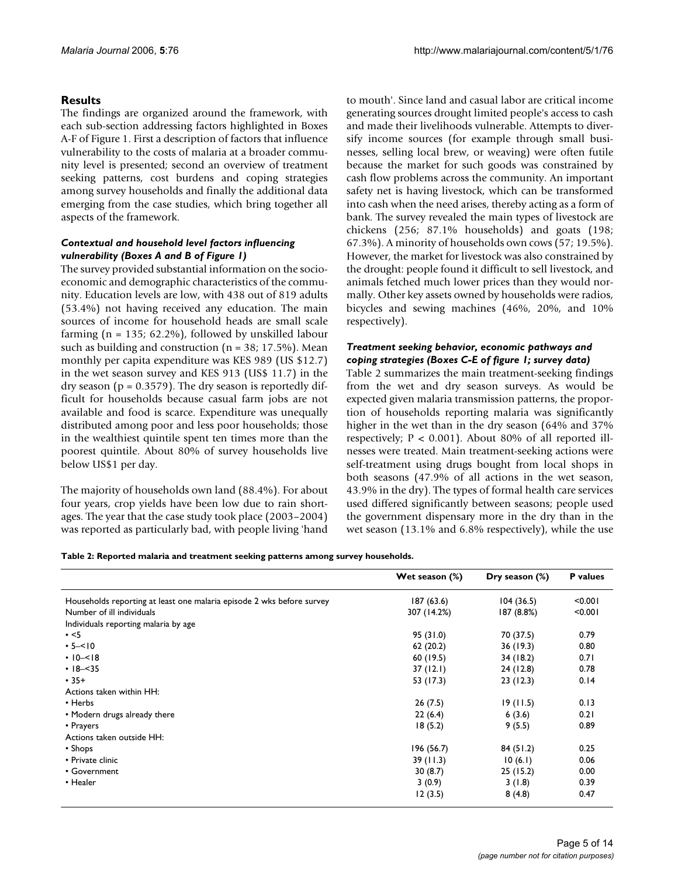### **Results**

The findings are organized around the framework, with each sub-section addressing factors highlighted in Boxes A-F of Figure 1. First a description of factors that influence vulnerability to the costs of malaria at a broader community level is presented; second an overview of treatment seeking patterns, cost burdens and coping strategies among survey households and finally the additional data emerging from the case studies, which bring together all aspects of the framework.

### *Contextual and household level factors influencing vulnerability (Boxes A and B of Figure 1)*

The survey provided substantial information on the socioeconomic and demographic characteristics of the community. Education levels are low, with 438 out of 819 adults (53.4%) not having received any education. The main sources of income for household heads are small scale farming ( $n = 135$ ; 62.2%), followed by unskilled labour such as building and construction ( $n = 38$ ; 17.5%). Mean monthly per capita expenditure was KES 989 (US \$12.7) in the wet season survey and KES 913 (US\$ 11.7) in the dry season ( $p = 0.3579$ ). The dry season is reportedly difficult for households because casual farm jobs are not available and food is scarce. Expenditure was unequally distributed among poor and less poor households; those in the wealthiest quintile spent ten times more than the poorest quintile. About 80% of survey households live below US\$1 per day.

The majority of households own land (88.4%). For about four years, crop yields have been low due to rain shortages. The year that the case study took place (2003–2004) was reported as particularly bad, with people living 'hand to mouth'. Since land and casual labor are critical income generating sources drought limited people's access to cash and made their livelihoods vulnerable. Attempts to diversify income sources (for example through small businesses, selling local brew, or weaving) were often futile because the market for such goods was constrained by cash flow problems across the community. An important safety net is having livestock, which can be transformed into cash when the need arises, thereby acting as a form of bank. The survey revealed the main types of livestock are chickens (256; 87.1% households) and goats (198; 67.3%). A minority of households own cows (57; 19.5%). However, the market for livestock was also constrained by the drought: people found it difficult to sell livestock, and animals fetched much lower prices than they would normally. Other key assets owned by households were radios, bicycles and sewing machines (46%, 20%, and 10% respectively).

### *Treatment seeking behavior, economic pathways and coping strategies (Boxes C-E of figure 1; survey data)*

Table 2 summarizes the main treatment-seeking findings from the wet and dry season surveys. As would be expected given malaria transmission patterns, the proportion of households reporting malaria was significantly higher in the wet than in the dry season (64% and 37% respectively;  $P < 0.001$ ). About 80% of all reported illnesses were treated. Main treatment-seeking actions were self-treatment using drugs bought from local shops in both seasons (47.9% of all actions in the wet season, 43.9% in the dry). The types of formal health care services used differed significantly between seasons; people used the government dispensary more in the dry than in the wet season (13.1% and 6.8% respectively), while the use

**Table 2: Reported malaria and treatment seeking patterns among survey households.**

|                                                                       | Wet season (%) | Dry season $(\%)$ | <b>P</b> values |
|-----------------------------------------------------------------------|----------------|-------------------|-----------------|
| Households reporting at least one malaria episode 2 wks before survey | 187(63.6)      | 104(36.5)         | < 0.001         |
| Number of ill individuals                                             | 307 (14.2%)    | 187 (8.8%)        | < 0.001         |
| Individuals reporting malaria by age                                  |                |                   |                 |
| $\cdot$ <5                                                            | 95(31.0)       | 70 (37.5)         | 0.79            |
| $\cdot$ 5- $<$ 10                                                     | 62(20.2)       | 36 (19.3)         | 0.80            |
| $\cdot$ 10– $\le$ 18                                                  | 60(19.5)       | 34 (18.2)         | 0.71            |
| $\cdot$ 18- $<$ 35                                                    | 37(12.1)       | 24(12.8)          | 0.78            |
| $• 35+$                                                               | 53 (17.3)      | 23(12.3)          | 0.14            |
| Actions taken within HH:                                              |                |                   |                 |
| • Herbs                                                               | 26(7.5)        | 19(11.5)          | 0.13            |
| • Modern drugs already there                                          | 22(6.4)        | 6(3.6)            | 0.21            |
| • Prayers                                                             | 18(5.2)        | 9(5.5)            | 0.89            |
| Actions taken outside HH:                                             |                |                   |                 |
| • Shops                                                               | 196 (56.7)     | 84(51.2)          | 0.25            |
| • Private clinic                                                      | 39 (11.3)      | 10(6.1)           | 0.06            |
| • Government                                                          | 30(8.7)        | 25(15.2)          | 0.00            |
| • Healer                                                              | 3(0.9)         | 3(1.8)            | 0.39            |
|                                                                       | 12(3.5)        | 8(4.8)            | 0.47            |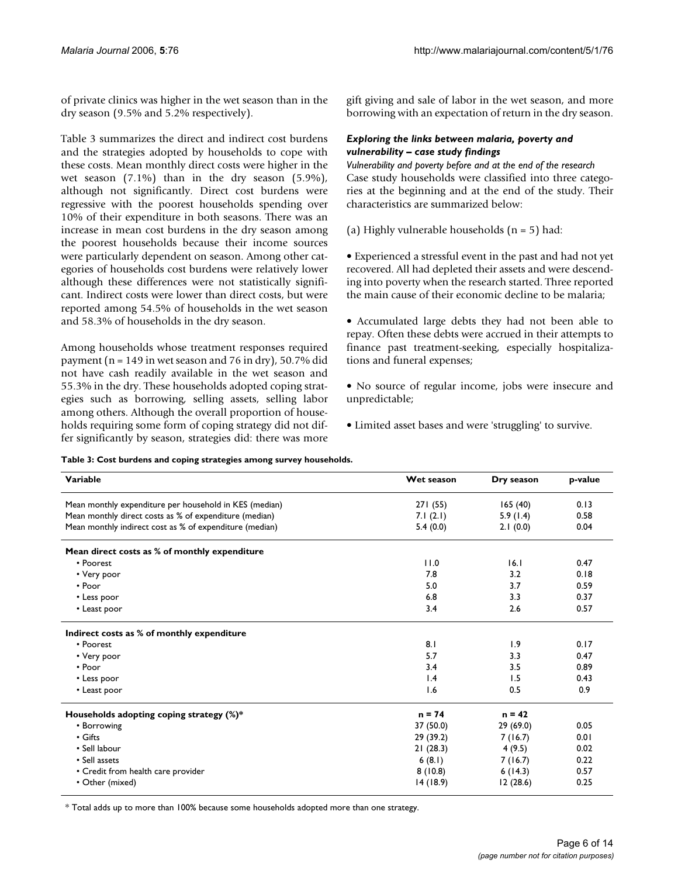of private clinics was higher in the wet season than in the dry season (9.5% and 5.2% respectively).

Table 3 summarizes the direct and indirect cost burdens and the strategies adopted by households to cope with these costs. Mean monthly direct costs were higher in the wet season (7.1%) than in the dry season (5.9%), although not significantly. Direct cost burdens were regressive with the poorest households spending over 10% of their expenditure in both seasons. There was an increase in mean cost burdens in the dry season among the poorest households because their income sources were particularly dependent on season. Among other categories of households cost burdens were relatively lower although these differences were not statistically significant. Indirect costs were lower than direct costs, but were reported among 54.5% of households in the wet season and 58.3% of households in the dry season.

Among households whose treatment responses required payment (n = 149 in wet season and 76 in dry), 50.7% did not have cash readily available in the wet season and 55.3% in the dry. These households adopted coping strategies such as borrowing, selling assets, selling labor among others. Although the overall proportion of households requiring some form of coping strategy did not differ significantly by season, strategies did: there was more gift giving and sale of labor in the wet season, and more borrowing with an expectation of return in the dry season.

#### *Exploring the links between malaria, poverty and vulnerability – case study findings*

*Vulnerability and poverty before and at the end of the research* Case study households were classified into three categories at the beginning and at the end of the study. Their characteristics are summarized below:

(a) Highly vulnerable households  $(n = 5)$  had:

- Experienced a stressful event in the past and had not yet recovered. All had depleted their assets and were descending into poverty when the research started. Three reported the main cause of their economic decline to be malaria;
- Accumulated large debts they had not been able to repay. Often these debts were accrued in their attempts to finance past treatment-seeking, especially hospitalizations and funeral expenses;

• No source of regular income, jobs were insecure and unpredictable;

• Limited asset bases and were 'struggling' to survive.

#### **Table 3: Cost burdens and coping strategies among survey households.**

| Variable                                                | Wet season | Dry season | p-value |
|---------------------------------------------------------|------------|------------|---------|
| Mean monthly expenditure per household in KES (median)  | 271 (55)   | 165(40)    | 0.13    |
| Mean monthly direct costs as % of expenditure (median)  | 7.1(2.1)   | 5.9(1.4)   | 0.58    |
| Mean monthly indirect cost as % of expenditure (median) | 5.4(0.0)   | 2.1(0.0)   | 0.04    |
| Mean direct costs as % of monthly expenditure           |            |            |         |
| • Poorest                                               | 11.0       | 16.1       | 0.47    |
| • Very poor                                             | 7.8        | 3.2        | 0.18    |
| • Poor                                                  | 5.0        | 3.7        | 0.59    |
| • Less poor                                             | 6.8        | 3.3        | 0.37    |
| • Least poor                                            | 3.4        | 2.6        | 0.57    |
| Indirect costs as % of monthly expenditure              |            |            |         |
| • Poorest                                               | 8.1        | 1.9        | 0.17    |
| • Very poor                                             | 5.7        | 3.3        | 0.47    |
| • Poor                                                  | 3.4        | 3.5        | 0.89    |
| • Less poor                                             | 1.4        | 1.5        | 0.43    |
| • Least poor                                            | 1.6        | 0.5        | 0.9     |
| Households adopting coping strategy (%)*                | $n = 74$   | $n = 42$   |         |
| • Borrowing                                             | 37 (50.0)  | 29(69.0)   | 0.05    |
| $\cdot$ Gifts                                           | 29 (39.2)  | 7(16.7)    | 0.01    |
| • Sell labour                                           | 21(28.3)   | 4(9.5)     | 0.02    |
| • Sell assets                                           | 6(8.1)     | 7(16.7)    | 0.22    |
| • Credit from health care provider                      | 8(10.8)    | 6(14.3)    | 0.57    |
| • Other (mixed)                                         | 14 (18.9)  | 12(28.6)   | 0.25    |

\* Total adds up to more than 100% because some households adopted more than one strategy.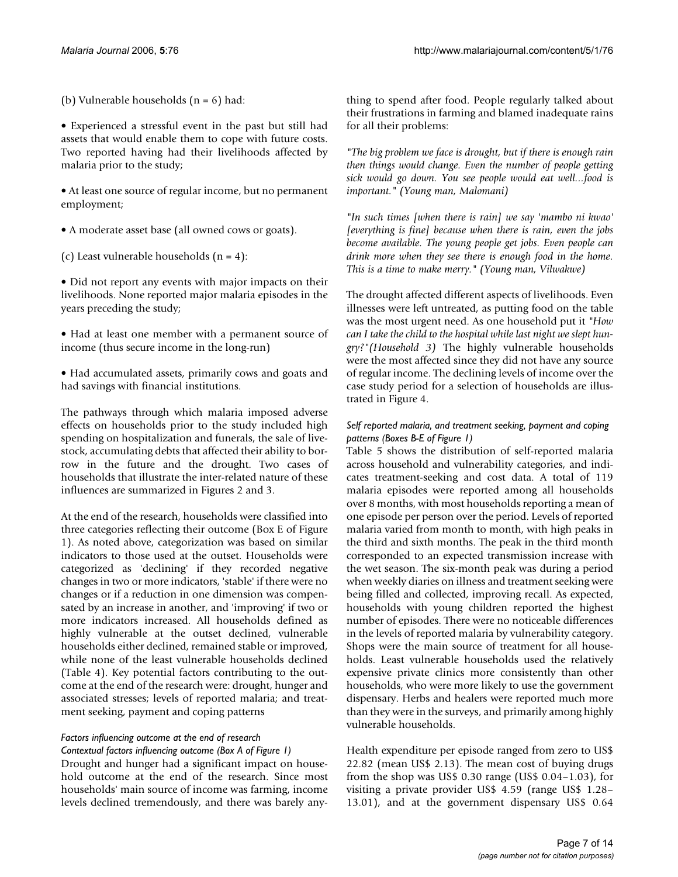(b) Vulnerable households (n = 6) had:

• Experienced a stressful event in the past but still had assets that would enable them to cope with future costs. Two reported having had their livelihoods affected by malaria prior to the study;

• At least one source of regular income, but no permanent employment;

• A moderate asset base (all owned cows or goats).

(c) Least vulnerable households  $(n = 4)$ :

• Did not report any events with major impacts on their livelihoods. None reported major malaria episodes in the years preceding the study;

• Had at least one member with a permanent source of income (thus secure income in the long-run)

• Had accumulated assets, primarily cows and goats and had savings with financial institutions.

The pathways through which malaria imposed adverse effects on households prior to the study included high spending on hospitalization and funerals, the sale of livestock, accumulating debts that affected their ability to borrow in the future and the drought. Two cases of households that illustrate the inter-related nature of these influences are summarized in Figures 2 and 3.

At the end of the research, households were classified into three categories reflecting their outcome (Box E of Figure 1). As noted above, categorization was based on similar indicators to those used at the outset. Households were categorized as 'declining' if they recorded negative changes in two or more indicators, 'stable' if there were no changes or if a reduction in one dimension was compensated by an increase in another, and 'improving' if two or more indicators increased. All households defined as highly vulnerable at the outset declined, vulnerable households either declined, remained stable or improved, while none of the least vulnerable households declined (Table 4). Key potential factors contributing to the outcome at the end of the research were: drought, hunger and associated stresses; levels of reported malaria; and treatment seeking, payment and coping patterns

### *Factors influencing outcome at the end of research*

### *Contextual factors influencing outcome (Box A of Figure 1)*

Drought and hunger had a significant impact on household outcome at the end of the research. Since most households' main source of income was farming, income levels declined tremendously, and there was barely anything to spend after food. People regularly talked about their frustrations in farming and blamed inadequate rains for all their problems:

*"The big problem we face is drought, but if there is enough rain then things would change. Even the number of people getting sick would go down. You see people would eat well...food is important." (Young man, Malomani)*

*"In such times [when there is rain] we say 'mambo ni kwao' [everything is fine] because when there is rain, even the jobs become available. The young people get jobs. Even people can drink more when they see there is enough food in the home. This is a time to make merry." (Young man, Vilwakwe)*

The drought affected different aspects of livelihoods. Even illnesses were left untreated, as putting food on the table was the most urgent need. As one household put it *"How can I take the child to the hospital while last night we slept hungry?"(Household 3)* The highly vulnerable households were the most affected since they did not have any source of regular income. The declining levels of income over the case study period for a selection of households are illustrated in Figure 4.

#### *Self reported malaria, and treatment seeking, payment and coping patterns (Boxes B-E of Figure 1)*

Table 5 shows the distribution of self-reported malaria across household and vulnerability categories, and indicates treatment-seeking and cost data. A total of 119 malaria episodes were reported among all households over 8 months, with most households reporting a mean of one episode per person over the period. Levels of reported malaria varied from month to month, with high peaks in the third and sixth months. The peak in the third month corresponded to an expected transmission increase with the wet season. The six-month peak was during a period when weekly diaries on illness and treatment seeking were being filled and collected, improving recall. As expected, households with young children reported the highest number of episodes. There were no noticeable differences in the levels of reported malaria by vulnerability category. Shops were the main source of treatment for all households. Least vulnerable households used the relatively expensive private clinics more consistently than other households, who were more likely to use the government dispensary. Herbs and healers were reported much more than they were in the surveys, and primarily among highly vulnerable households.

Health expenditure per episode ranged from zero to US\$ 22.82 (mean US\$ 2.13). The mean cost of buying drugs from the shop was US\$ 0.30 range (US\$ 0.04–1.03), for visiting a private provider US\$ 4.59 (range US\$ 1.28– 13.01), and at the government dispensary US\$ 0.64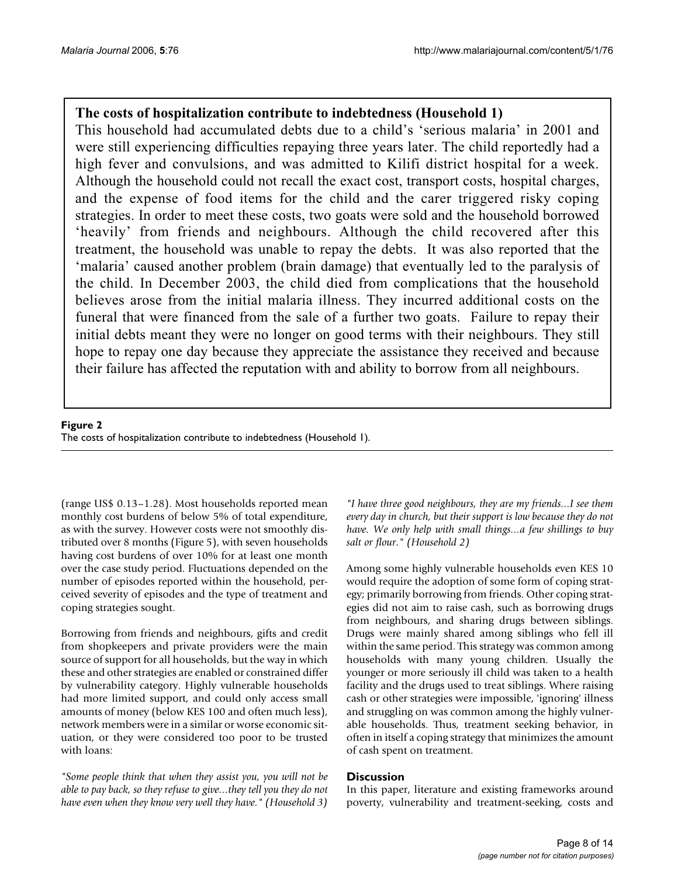# The costs of hospitalization contribute to indebtedness (Household 1)

This household had accumulated debts due to a child's 'serious malaria' in 2001 and were still experiencing difficulties repaying three years later. The child reportedly had a high fever and convulsions, and was admitted to Kilifi district hospital for a week. Although the household could not recall the exact cost, transport costs, hospital charges, and the expense of food items for the child and the carer triggered risky coping strategies. In order to meet these costs, two goats were sold and the household borrowed 'heavily' from friends and neighbours. Although the child recovered after this treatment, the household was unable to repay the debts. It was also reported that the 'malaria' caused another problem (brain damage) that eventually led to the paralysis of the child. In December 2003, the child died from complications that the household believes arose from the initial malaria illness. They incurred additional costs on the funeral that were financed from the sale of a further two goats. Failure to repay their initial debts meant they were no longer on good terms with their neighbours. They still hope to repay one day because they appreciate the assistance they received and because their failure has affected the reputation with and ability to borrow from all neighbours.

# Figure 2 The costs of hospitalization contribute to indebtedness (Household 1).

(range US\$ 0.13–1.28). Most households reported mean monthly cost burdens of below 5% of total expenditure, as with the survey. However costs were not smoothly distributed over 8 months (Figure 5), with seven households having cost burdens of over 10% for at least one month over the case study period. Fluctuations depended on the number of episodes reported within the household, perceived severity of episodes and the type of treatment and coping strategies sought.

Borrowing from friends and neighbours, gifts and credit from shopkeepers and private providers were the main source of support for all households, but the way in which these and other strategies are enabled or constrained differ by vulnerability category. Highly vulnerable households had more limited support, and could only access small amounts of money (below KES 100 and often much less), network members were in a similar or worse economic situation, or they were considered too poor to be trusted with loans:

*"Some people think that when they assist you, you will not be able to pay back, so they refuse to give...they tell you they do not have even when they know very well they have." (Household 3)*

*"I have three good neighbours, they are my friends...I see them every day in church, but their support is low because they do not have. We only help with small things...a few shillings to buy salt or flour." (Household 2)*

Among some highly vulnerable households even KES 10 would require the adoption of some form of coping strategy; primarily borrowing from friends. Other coping strategies did not aim to raise cash, such as borrowing drugs from neighbours, and sharing drugs between siblings. Drugs were mainly shared among siblings who fell ill within the same period. This strategy was common among households with many young children. Usually the younger or more seriously ill child was taken to a health facility and the drugs used to treat siblings. Where raising cash or other strategies were impossible, 'ignoring' illness and struggling on was common among the highly vulnerable households. Thus, treatment seeking behavior, in often in itself a coping strategy that minimizes the amount of cash spent on treatment.

## **Discussion**

In this paper, literature and existing frameworks around poverty, vulnerability and treatment-seeking, costs and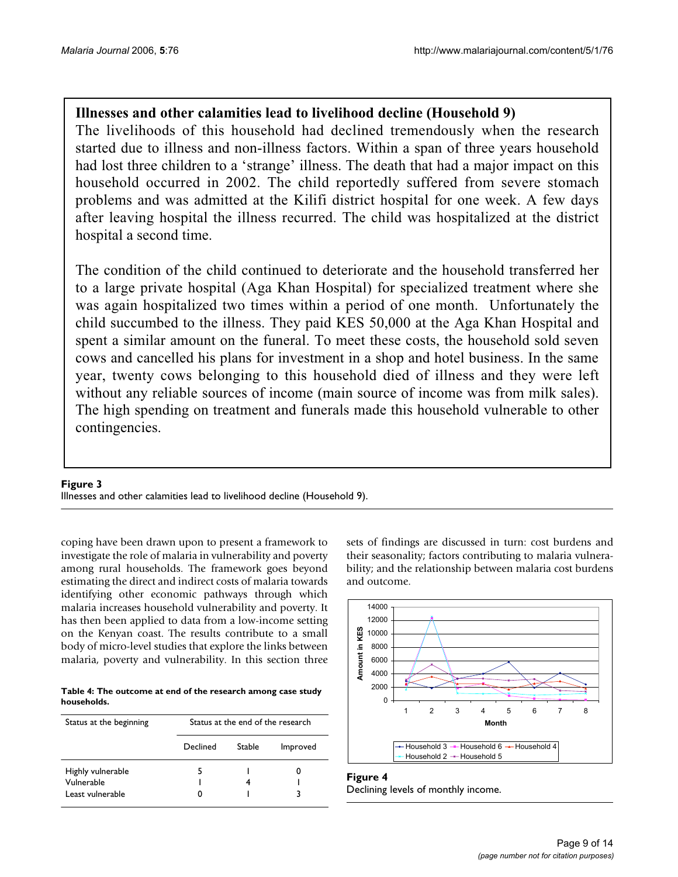# Illnesses and other calamities lead to livelihood decline (Household 9)

The livelihoods of this household had declined tremendously when the research started due to illness and non-illness factors. Within a span of three years household had lost three children to a 'strange' illness. The death that had a major impact on this household occurred in 2002. The child reportedly suffered from severe stomach problems and was admitted at the Kilifi district hospital for one week. A few days after leaving hospital the illness recurred. The child was hospitalized at the district hospital a second time.

The condition of the child continued to deteriorate and the household transferred her to a large private hospital (Aga Khan Hospital) for specialized treatment where she was again hospitalized two times within a period of one month. Unfortunately the child succumbed to the illness. They paid KES 50,000 at the Aga Khan Hospital and spent a similar amount on the funeral. To meet these costs, the household sold seven cows and cancelled his plans for investment in a shop and hotel business. In the same year, twenty cows belonging to this household died of illness and they were left without any reliable sources of income (main source of income was from milk sales). The high spending on treatment and funerals made this household vulnerable to other contingencies.

# **Figure 3**

Illnesses and other calamities lead to livelihood decline (Household 9).

coping have been drawn upon to present a framework to investigate the role of malaria in vulnerability and poverty among rural households. The framework goes beyond estimating the direct and indirect costs of malaria towards identifying other economic pathways through which malaria increases household vulnerability and poverty. It has then been applied to data from a low-income setting on the Kenyan coast. The results contribute to a small body of micro-level studies that explore the links between malaria, poverty and vulnerability. In this section three

| Table 4: The outcome at end of the research among case study |  |
|--------------------------------------------------------------|--|
| households.                                                  |  |

| Status at the beginning |          | Status at the end of the research |          |  |  |  |
|-------------------------|----------|-----------------------------------|----------|--|--|--|
|                         | Declined | <b>Stable</b>                     | Improved |  |  |  |
| Highly vulnerable       |          |                                   |          |  |  |  |
| Vulnerable              |          |                                   |          |  |  |  |
| Least vulnerable        |          |                                   |          |  |  |  |

sets of findings are discussed in turn: cost burdens and their seasonality; factors contributing to malaria vulnerability; and the relationship between malaria cost burdens and outcome.



# **Figure 4** Declining levels of monthly income.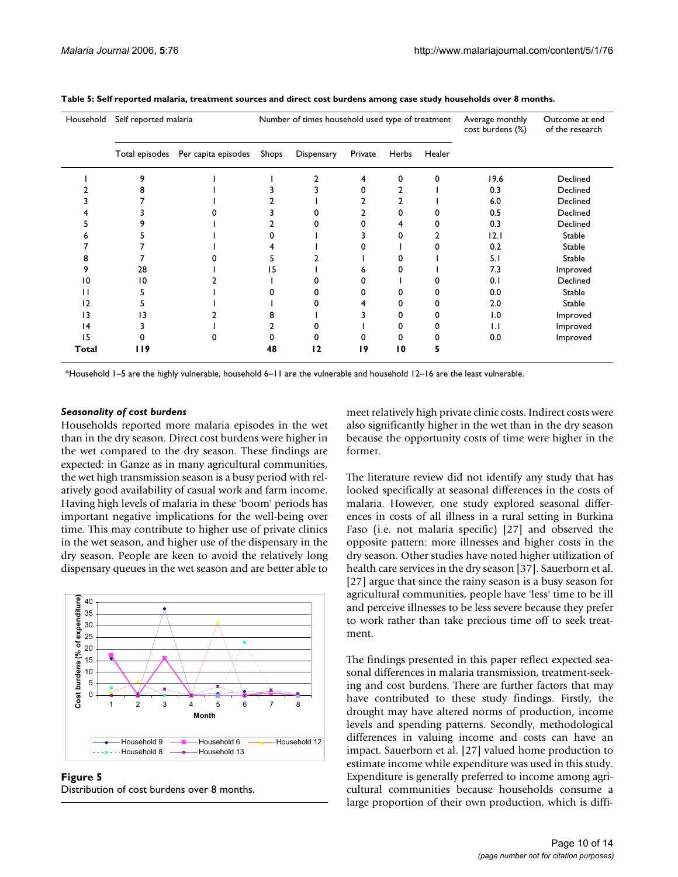| Household       | Self reported malaria |                     | Number of times household used type of treatment |            |         | Average monthly<br>cost burdens (%) | Outcome at end<br>of the research |                  |               |
|-----------------|-----------------------|---------------------|--------------------------------------------------|------------|---------|-------------------------------------|-----------------------------------|------------------|---------------|
|                 | Total episodes        | Per capita episodes | Shops                                            | Dispensary | Private | Herbs                               | Healer                            |                  |               |
|                 | 9                     |                     |                                                  |            | 4       | U                                   | 0                                 | 19.6             | Declined      |
|                 |                       |                     |                                                  |            |         |                                     |                                   | 0.3              | Declined      |
|                 |                       |                     |                                                  |            |         |                                     |                                   | 6.0              | Declined      |
|                 |                       |                     |                                                  |            |         |                                     |                                   | 0.5              | Declined      |
|                 |                       |                     |                                                  |            |         |                                     | 0                                 | 0.3              | Declined      |
|                 |                       |                     |                                                  |            |         |                                     |                                   | 12.1             | Stable        |
|                 |                       |                     |                                                  |            |         |                                     |                                   | 0.2              | <b>Stable</b> |
|                 |                       |                     |                                                  |            |         |                                     |                                   | 5.1              | Stable        |
|                 | 28                    |                     | 15                                               |            |         |                                     |                                   | 7.3              | Improved      |
| 10              | 10                    |                     |                                                  |            |         |                                     |                                   | 0.1              | Declined      |
| н               |                       |                     |                                                  |            |         |                                     |                                   | 0.0              | Stable        |
| 12              |                       |                     |                                                  |            |         |                                     | o                                 | 2.0              | <b>Stable</b> |
| $\overline{13}$ | 13                    |                     |                                                  |            |         |                                     | 0                                 | 1.0              | Improved      |
| 4               |                       |                     |                                                  |            |         |                                     | 0                                 | $\overline{1}$ . | Improved      |
| 15              |                       |                     |                                                  |            |         |                                     | o                                 | 0.0              | Improved      |
| Total           | I 19                  |                     | 48                                               | 12         | 19      | $\overline{10}$                     |                                   |                  |               |

#### **Table 5: Self reported malaria, treatment sources and direct cost burdens among case study households over 8 months.**

\*Household 1–5 are the highly vulnerable, household 6–11 are the vulnerable and household 12–16 are the least vulnerable.

#### *Seasonality of cost burdens*

Households reported more malaria episodes in the wet than in the dry season. Direct cost burdens were higher in the wet compared to the dry season. These findings are expected: in Ganze as in many agricultural communities, the wet high transmission season is a busy period with relatively good availability of casual work and farm income. Having high levels of malaria in these 'boom' periods has important negative implications for the well-being over time. This may contribute to higher use of private clinics in the wet season, and higher use of the dispensary in the dry season. People are keen to avoid the relatively long dispensary queues in the wet season and are better able to



**Figure 5** Distribution of cost burdens over 8 months.

meet relatively high private clinic costs. Indirect costs were also significantly higher in the wet than in the dry season because the opportunity costs of time were higher in the former.

The literature review did not identify any study that has looked specifically at seasonal differences in the costs of malaria. However, one study explored seasonal differences in costs of all illness in a rural setting in Burkina Faso (i.e. not malaria specific) [27] and observed the opposite pattern: more illnesses and higher costs in the dry season. Other studies have noted higher utilization of health care services in the dry season [37]. Sauerborn et al. [27] argue that since the rainy season is a busy season for agricultural communities, people have 'less' time to be ill and perceive illnesses to be less severe because they prefer to work rather than take precious time off to seek treatment.

The findings presented in this paper reflect expected seasonal differences in malaria transmission, treatment-seeking and cost burdens. There are further factors that may have contributed to these study findings. Firstly, the drought may have altered norms of production, income levels and spending patterns. Secondly, methodological differences in valuing income and costs can have an impact. Sauerborn et al. [27] valued home production to estimate income while expenditure was used in this study. Expenditure is generally preferred to income among agricultural communities because households consume a large proportion of their own production, which is diffi-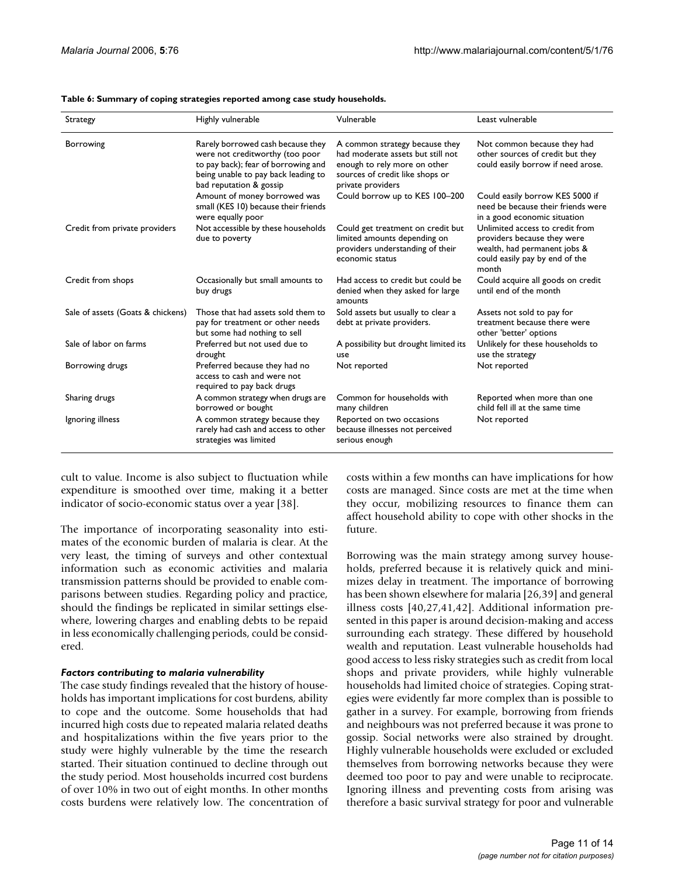| Strategy                          | Highly vulnerable                                                                                                                                                             | Vulnerable                                                                                                                                                  | Least vulnerable                                                                                                                          |
|-----------------------------------|-------------------------------------------------------------------------------------------------------------------------------------------------------------------------------|-------------------------------------------------------------------------------------------------------------------------------------------------------------|-------------------------------------------------------------------------------------------------------------------------------------------|
| Borrowing                         | Rarely borrowed cash because they<br>were not creditworthy (too poor<br>to pay back); fear of borrowing and<br>being unable to pay back leading to<br>bad reputation & gossip | A common strategy because they<br>had moderate assets but still not<br>enough to rely more on other<br>sources of credit like shops or<br>private providers | Not common because they had<br>other sources of credit but they<br>could easily borrow if need arose.                                     |
|                                   | Amount of money borrowed was<br>small (KES 10) because their friends<br>were equally poor                                                                                     | Could borrow up to KES 100-200                                                                                                                              | Could easily borrow KES 5000 if<br>need be because their friends were<br>in a good economic situation                                     |
| Credit from private providers     | Not accessible by these households<br>due to poverty                                                                                                                          | Could get treatment on credit but<br>limited amounts depending on<br>providers understanding of their<br>economic status                                    | Unlimited access to credit from<br>providers because they were<br>wealth, had permanent jobs &<br>could easily pay by end of the<br>month |
| Credit from shops                 | Occasionally but small amounts to<br>buy drugs                                                                                                                                | Had access to credit but could be<br>denied when they asked for large<br>amounts                                                                            | Could acquire all goods on credit<br>until end of the month                                                                               |
| Sale of assets (Goats & chickens) | Those that had assets sold them to<br>pay for treatment or other needs<br>but some had nothing to sell                                                                        | Sold assets but usually to clear a<br>debt at private providers.                                                                                            | Assets not sold to pay for<br>treatment because there were<br>other 'better' options                                                      |
| Sale of labor on farms            | Preferred but not used due to<br>drought                                                                                                                                      | A possibility but drought limited its<br>use                                                                                                                | Unlikely for these households to<br>use the strategy                                                                                      |
| Borrowing drugs                   | Preferred because they had no<br>access to cash and were not<br>required to pay back drugs                                                                                    | Not reported                                                                                                                                                | Not reported                                                                                                                              |
| Sharing drugs                     | A common strategy when drugs are<br>borrowed or bought                                                                                                                        | Common for households with<br>many children                                                                                                                 | Reported when more than one<br>child fell ill at the same time                                                                            |
| Ignoring illness                  | A common strategy because they<br>rarely had cash and access to other<br>strategies was limited                                                                               | Reported on two occasions<br>because illnesses not perceived<br>serious enough                                                                              | Not reported                                                                                                                              |

**Table 6: Summary of coping strategies reported among case study households.**

cult to value. Income is also subject to fluctuation while expenditure is smoothed over time, making it a better indicator of socio-economic status over a year [38].

The importance of incorporating seasonality into estimates of the economic burden of malaria is clear. At the very least, the timing of surveys and other contextual information such as economic activities and malaria transmission patterns should be provided to enable comparisons between studies. Regarding policy and practice, should the findings be replicated in similar settings elsewhere, lowering charges and enabling debts to be repaid in less economically challenging periods, could be considered.

#### *Factors contributing to malaria vulnerability*

The case study findings revealed that the history of households has important implications for cost burdens, ability to cope and the outcome. Some households that had incurred high costs due to repeated malaria related deaths and hospitalizations within the five years prior to the study were highly vulnerable by the time the research started. Their situation continued to decline through out the study period. Most households incurred cost burdens of over 10% in two out of eight months. In other months costs burdens were relatively low. The concentration of costs within a few months can have implications for how costs are managed. Since costs are met at the time when they occur, mobilizing resources to finance them can affect household ability to cope with other shocks in the future.

Borrowing was the main strategy among survey households, preferred because it is relatively quick and minimizes delay in treatment. The importance of borrowing has been shown elsewhere for malaria [26,39] and general illness costs [40,27,41,42]. Additional information presented in this paper is around decision-making and access surrounding each strategy. These differed by household wealth and reputation. Least vulnerable households had good access to less risky strategies such as credit from local shops and private providers, while highly vulnerable households had limited choice of strategies. Coping strategies were evidently far more complex than is possible to gather in a survey. For example, borrowing from friends and neighbours was not preferred because it was prone to gossip. Social networks were also strained by drought. Highly vulnerable households were excluded or excluded themselves from borrowing networks because they were deemed too poor to pay and were unable to reciprocate. Ignoring illness and preventing costs from arising was therefore a basic survival strategy for poor and vulnerable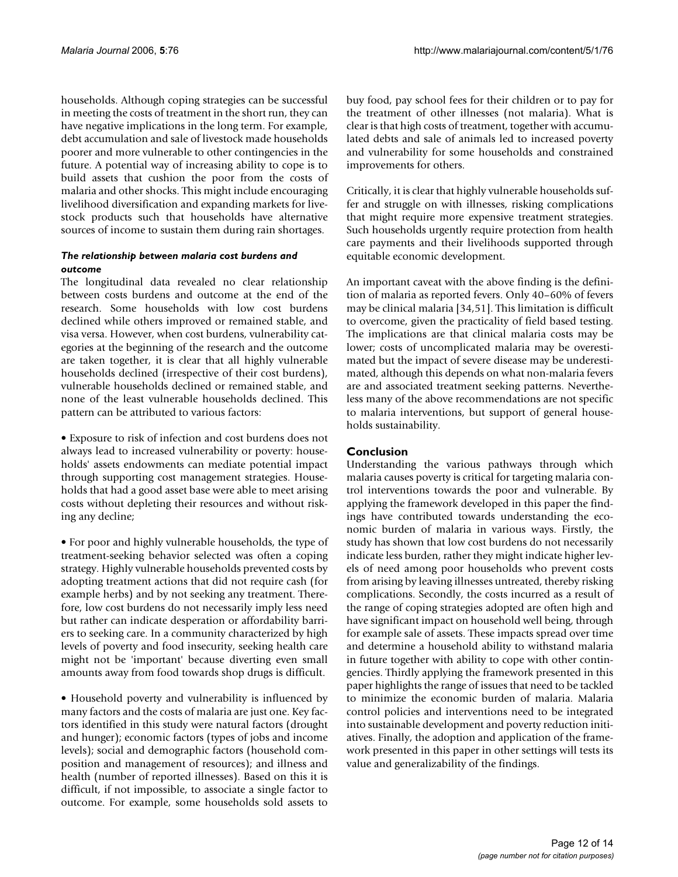households. Although coping strategies can be successful in meeting the costs of treatment in the short run, they can have negative implications in the long term. For example, debt accumulation and sale of livestock made households poorer and more vulnerable to other contingencies in the future. A potential way of increasing ability to cope is to build assets that cushion the poor from the costs of malaria and other shocks. This might include encouraging livelihood diversification and expanding markets for livestock products such that households have alternative sources of income to sustain them during rain shortages.

#### *The relationship between malaria cost burdens and outcome*

The longitudinal data revealed no clear relationship between costs burdens and outcome at the end of the research. Some households with low cost burdens declined while others improved or remained stable, and visa versa. However, when cost burdens, vulnerability categories at the beginning of the research and the outcome are taken together, it is clear that all highly vulnerable households declined (irrespective of their cost burdens), vulnerable households declined or remained stable, and none of the least vulnerable households declined. This pattern can be attributed to various factors:

• Exposure to risk of infection and cost burdens does not always lead to increased vulnerability or poverty: households' assets endowments can mediate potential impact through supporting cost management strategies. Households that had a good asset base were able to meet arising costs without depleting their resources and without risking any decline;

• For poor and highly vulnerable households, the type of treatment-seeking behavior selected was often a coping strategy. Highly vulnerable households prevented costs by adopting treatment actions that did not require cash (for example herbs) and by not seeking any treatment. Therefore, low cost burdens do not necessarily imply less need but rather can indicate desperation or affordability barriers to seeking care. In a community characterized by high levels of poverty and food insecurity, seeking health care might not be 'important' because diverting even small amounts away from food towards shop drugs is difficult.

• Household poverty and vulnerability is influenced by many factors and the costs of malaria are just one. Key factors identified in this study were natural factors (drought and hunger); economic factors (types of jobs and income levels); social and demographic factors (household composition and management of resources); and illness and health (number of reported illnesses). Based on this it is difficult, if not impossible, to associate a single factor to outcome. For example, some households sold assets to

buy food, pay school fees for their children or to pay for the treatment of other illnesses (not malaria). What is clear is that high costs of treatment, together with accumulated debts and sale of animals led to increased poverty and vulnerability for some households and constrained improvements for others.

Critically, it is clear that highly vulnerable households suffer and struggle on with illnesses, risking complications that might require more expensive treatment strategies. Such households urgently require protection from health care payments and their livelihoods supported through equitable economic development.

An important caveat with the above finding is the definition of malaria as reported fevers. Only 40–60% of fevers may be clinical malaria [34,51]. This limitation is difficult to overcome, given the practicality of field based testing. The implications are that clinical malaria costs may be lower; costs of uncomplicated malaria may be overestimated but the impact of severe disease may be underestimated, although this depends on what non-malaria fevers are and associated treatment seeking patterns. Nevertheless many of the above recommendations are not specific to malaria interventions, but support of general households sustainability.

### **Conclusion**

Understanding the various pathways through which malaria causes poverty is critical for targeting malaria control interventions towards the poor and vulnerable. By applying the framework developed in this paper the findings have contributed towards understanding the economic burden of malaria in various ways. Firstly, the study has shown that low cost burdens do not necessarily indicate less burden, rather they might indicate higher levels of need among poor households who prevent costs from arising by leaving illnesses untreated, thereby risking complications. Secondly, the costs incurred as a result of the range of coping strategies adopted are often high and have significant impact on household well being, through for example sale of assets. These impacts spread over time and determine a household ability to withstand malaria in future together with ability to cope with other contingencies. Thirdly applying the framework presented in this paper highlights the range of issues that need to be tackled to minimize the economic burden of malaria. Malaria control policies and interventions need to be integrated into sustainable development and poverty reduction initiatives. Finally, the adoption and application of the framework presented in this paper in other settings will tests its value and generalizability of the findings.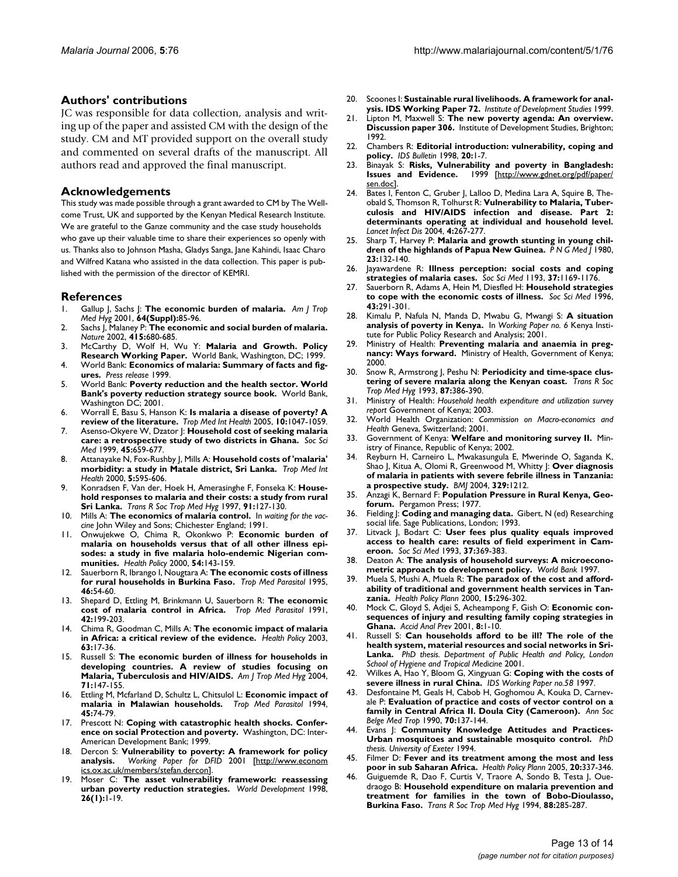#### **Authors' contributions**

JC was responsible for data collection, analysis and writing up of the paper and assisted CM with the design of the study. CM and MT provided support on the overall study and commented on several drafts of the manuscript. All authors read and approved the final manuscript.

#### **Acknowledgements**

This study was made possible through a grant awarded to CM by The Wellcome Trust, UK and supported by the Kenyan Medical Research Institute. We are grateful to the Ganze community and the case study households who gave up their valuable time to share their experiences so openly with us. Thanks also to Johnson Masha, Gladys Sanga, Jane Kahindi, Isaac Charo and Wilfred Katana who assisted in the data collection. This paper is published with the permission of the director of KEMRI.

#### **References**

- 1. Gallup J, Sachs J: **The economic burden of malaria.** *Am J Trop Med Hyg* 2001, **64(Suppl):**85-96.
- 2. Sachs J, Malaney P: **[The economic and social burden of malaria.](http://www.ncbi.nlm.nih.gov/entrez/query.fcgi?cmd=Retrieve&db=PubMed&dopt=Abstract&list_uids=11832956)** *Nature* 2002, **415:**680-685.
- 3. McCarthy D, Wolf H, Wu Y: **Malaria and Growth. Policy Research Working Paper.** World Bank, Washington, DC; 1999.
- 4. World Bank: **Economics of malaria: Summary of facts and figures.** *Press release* 1999.
- 5. World Bank: **Poverty reduction and the health sector. World Bank's poverty reduction strategy source book.** World Bank, Washington DC; 2001.
- 6. Worrall E, Basu S, Hanson K: **[Is malaria a disease of poverty? A](http://www.ncbi.nlm.nih.gov/entrez/query.fcgi?cmd=Retrieve&db=PubMed&dopt=Abstract&list_uids=16185240) [review of the literature.](http://www.ncbi.nlm.nih.gov/entrez/query.fcgi?cmd=Retrieve&db=PubMed&dopt=Abstract&list_uids=16185240)** *Trop Med Int Health* 2005, **10:**1047-1059.
- 7. Asenso-Okyere W, Dzator J: **Household cost of seeking malaria care: a retrospective study of two districts in Ghana.** *Soc Sci Med* 1999, **45:**659-677.
- 8. Attanayake N, Fox-Rushby J, Mills A: **[Household costs of 'malaria'](http://www.ncbi.nlm.nih.gov/entrez/query.fcgi?cmd=Retrieve&db=PubMed&dopt=Abstract&list_uids=11044273) [morbidity: a study in Matale district, Sri Lanka.](http://www.ncbi.nlm.nih.gov/entrez/query.fcgi?cmd=Retrieve&db=PubMed&dopt=Abstract&list_uids=11044273)** *Trop Med Int Health* 2000, **5:**595-606.
- 9. Konradsen F, Van der, Hoek H, Amerasinghe F, Fonseka K: **[House](http://www.ncbi.nlm.nih.gov/entrez/query.fcgi?cmd=Retrieve&db=PubMed&dopt=Abstract&list_uids=9196747)[hold responses to malaria and their costs: a study from rural](http://www.ncbi.nlm.nih.gov/entrez/query.fcgi?cmd=Retrieve&db=PubMed&dopt=Abstract&list_uids=9196747) [Sri Lanka.](http://www.ncbi.nlm.nih.gov/entrez/query.fcgi?cmd=Retrieve&db=PubMed&dopt=Abstract&list_uids=9196747)** *Trans R Soc Trop Med Hyg* 1997, **91:**127-130.
- 10. Mills A: **The economics of malaria control.** In *waiting for the vaccine* John Wiley and Sons; Chichester England; 1991.
- 11. Onwujekwe O, Chima R, Okonkwo P: **[Economic burden of](http://www.ncbi.nlm.nih.gov/entrez/query.fcgi?cmd=Retrieve&db=PubMed&dopt=Abstract&list_uids=11094267) [malaria on households versus that of all other illness epi](http://www.ncbi.nlm.nih.gov/entrez/query.fcgi?cmd=Retrieve&db=PubMed&dopt=Abstract&list_uids=11094267)sodes: a study in five malaria holo-endemic Nigerian com[munities.](http://www.ncbi.nlm.nih.gov/entrez/query.fcgi?cmd=Retrieve&db=PubMed&dopt=Abstract&list_uids=11094267)** *Health Policy* 2000, **54:**143-159.
- 12. Sauerborn R, Ibrango I, Nougtara A: **[The economic costs of illness](http://www.ncbi.nlm.nih.gov/entrez/query.fcgi?cmd=Retrieve&db=PubMed&dopt=Abstract&list_uids=7631130) [for rural households in Burkina Faso.](http://www.ncbi.nlm.nih.gov/entrez/query.fcgi?cmd=Retrieve&db=PubMed&dopt=Abstract&list_uids=7631130)** *Trop Med Parasitol* 1995, **46:**54-60.
- 13. Shepard D, Ettling M, Brinkmann U, Sauerborn R: **[The economic](http://www.ncbi.nlm.nih.gov/entrez/query.fcgi?cmd=Retrieve&db=PubMed&dopt=Abstract&list_uids=1801147) [cost of malaria control in Africa.](http://www.ncbi.nlm.nih.gov/entrez/query.fcgi?cmd=Retrieve&db=PubMed&dopt=Abstract&list_uids=1801147)** *Trop Med Parasitol* 1991, **42:**199-203.
- 14. Chima R, Goodman C, Mills A: **[The economic impact of malaria](http://www.ncbi.nlm.nih.gov/entrez/query.fcgi?cmd=Retrieve&db=PubMed&dopt=Abstract&list_uids=12468115) [in Africa: a critical review of the evidence.](http://www.ncbi.nlm.nih.gov/entrez/query.fcgi?cmd=Retrieve&db=PubMed&dopt=Abstract&list_uids=12468115)** *Health Policy* 2003, **63:**17-36.
- 15. Russell S: **[The economic burden of illness for households in](http://www.ncbi.nlm.nih.gov/entrez/query.fcgi?cmd=Retrieve&db=PubMed&dopt=Abstract&list_uids=15331831) [developing countries. A review of studies focusing on](http://www.ncbi.nlm.nih.gov/entrez/query.fcgi?cmd=Retrieve&db=PubMed&dopt=Abstract&list_uids=15331831) [Malaria, Tuberculosis and HIV/AIDS.](http://www.ncbi.nlm.nih.gov/entrez/query.fcgi?cmd=Retrieve&db=PubMed&dopt=Abstract&list_uids=15331831)** *Am J Trop Med Hyg* 2004, **71:**147-155.
- 16. Ettling M, Mcfarland D, Schultz L, Chitsulol L: **[Economic impact of](http://www.ncbi.nlm.nih.gov/entrez/query.fcgi?cmd=Retrieve&db=PubMed&dopt=Abstract&list_uids=8066390) [malaria in Malawian households.](http://www.ncbi.nlm.nih.gov/entrez/query.fcgi?cmd=Retrieve&db=PubMed&dopt=Abstract&list_uids=8066390)** *Trop Med Parasitol* 1994, **45:**74-79.
- 17. Prescott N: **Coping with catastrophic health shocks. Conference on social Protection and poverty.** Washington, DC: Inter-American Development Bank; 1999.
- 18. Dercon S: **Vulnerability to poverty: A framework for policy analysis.** *Working Paper for DFID* 2001 [\[http://www.econom](http://www.economics.ox.ac.uk/members/stefan.dercon) [ics.ox.ac.uk/members/stefan.dercon](http://www.economics.ox.ac.uk/members/stefan.dercon)].
- 19. Moser C: **The asset vulnerability framework: reassessing urban poverty reduction strategies.** *World Development* 1998, **26(1):**1-19.
- 20. Scoones I: **Sustainable rural livelihoods. A framework for analysis. IDS Working Paper 72.** *Institute of Development Studies* 1999.
- 21. Lipton M, Maxwell S: **The new poverty agenda: An overview. Discussion paper 306.** Institute of Development Studies, Brighton; 1992.
- 22. Chambers R: **Editorial introduction: vulnerability, coping and policy.** *IDS Bulletin* 1998, **20:**1-7.
- 23. Binayak S: **Risks, Vulnerability and poverty in Bangladesh: Issues and Evidence.** 1999 [[http://www.gdnet.org/pdf/paper/](http://www.gdnet.org/pdf/paper/sen.doc) [sen.doc\]](http://www.gdnet.org/pdf/paper/sen.doc).
- 24. Bates I, Fenton C, Gruber J, Lalloo D, Medina Lara A, Squire B, Theobald S, Thomson R, Tolhurst R: **[Vulnerability to Malaria, Tuber](http://www.ncbi.nlm.nih.gov/entrez/query.fcgi?cmd=Retrieve&db=PubMed&dopt=Abstract&list_uids=15120343)[culosis and HIV/AIDS infection and disease. Part 2:](http://www.ncbi.nlm.nih.gov/entrez/query.fcgi?cmd=Retrieve&db=PubMed&dopt=Abstract&list_uids=15120343) determinants operating at individual and household level.** *Lancet Infect Dis* 2004, **4:**267-277.
- Sharp T, Harvey P: [Malaria and growth stunting in young chil](http://www.ncbi.nlm.nih.gov/entrez/query.fcgi?cmd=Retrieve&db=PubMed&dopt=Abstract&list_uids=7008427)**[dren of the highlands of Papua New Guinea.](http://www.ncbi.nlm.nih.gov/entrez/query.fcgi?cmd=Retrieve&db=PubMed&dopt=Abstract&list_uids=7008427)** *P N G Med J* 1980, **23:**132-140.
- 26. Jayawardene R: **Illness perception: social costs and coping strategies of malaria cases.** *Soc Sci Med* 1193, **37:**1169-1176.
- 27. Sauerborn R, Adams A, Hein M, Diesfled H: **[Household strategies](http://www.ncbi.nlm.nih.gov/entrez/query.fcgi?cmd=Retrieve&db=PubMed&dopt=Abstract&list_uids=8844932) [to cope with the economic costs of illness.](http://www.ncbi.nlm.nih.gov/entrez/query.fcgi?cmd=Retrieve&db=PubMed&dopt=Abstract&list_uids=8844932)** *Soc Sci Med* 1996, **43:**291-301.
- 28. Kimalu P, Nafula N, Manda D, Mwabu G, Mwangi S: **A situation analysis of poverty in Kenya.** In *Working Paper no. 6* Kenya Institute for Public Policy Research and Analysis; 2001.
- 29. Ministry of Health: **Preventing malaria and anaemia in pregnancy: Ways forward.** Ministry of Health, Government of Kenya; 2000.
- 30. Snow R, Armstrong J, Peshu N: [Periodicity and time-space clus](http://www.ncbi.nlm.nih.gov/entrez/query.fcgi?cmd=Retrieve&db=PubMed&dopt=Abstract&list_uids=8249058)**[tering of severe malaria along the Kenyan coast.](http://www.ncbi.nlm.nih.gov/entrez/query.fcgi?cmd=Retrieve&db=PubMed&dopt=Abstract&list_uids=8249058)** *Trans R Soc Trop Med Hyg* 1993, **87:**386-390.
- 31. Ministry of Health: *Household health expenditure and utilization survey report* Government of Kenya; 2003.
- 32. World Health Organization: *Commission on Macro-economics and Health* Geneva, Switzerland; 2001.
- 33. Government of Kenya: **Welfare and monitoring survey II.** Ministry of Finance, Republic of Kenya; 2002.
- 34. Reyburn H, Carneiro L, Mwakasungula E, Mwerinde O, Saganda K, Shao J, Kitua A, Olomi R, Greenwood M, Whitty J: **[Over diagnosis](http://www.ncbi.nlm.nih.gov/entrez/query.fcgi?cmd=Retrieve&db=PubMed&dopt=Abstract&list_uids=15542534) [of malaria in patients with severe febrile illness in Tanzania:](http://www.ncbi.nlm.nih.gov/entrez/query.fcgi?cmd=Retrieve&db=PubMed&dopt=Abstract&list_uids=15542534) [a prospective study.](http://www.ncbi.nlm.nih.gov/entrez/query.fcgi?cmd=Retrieve&db=PubMed&dopt=Abstract&list_uids=15542534)** *BMJ* 2004, **329:**1212.
- 35. Anzagi K, Bernard F: **[Population Pressure in Rural Kenya, Geo](http://www.ncbi.nlm.nih.gov/entrez/query.fcgi?cmd=Retrieve&db=PubMed&dopt=Abstract&list_uids=12337395)[forum.](http://www.ncbi.nlm.nih.gov/entrez/query.fcgi?cmd=Retrieve&db=PubMed&dopt=Abstract&list_uids=12337395)** Pergamon Press; 1977.
- 36. Fielding J: **Coding and managing data.** Gibert, N (ed) Researching social life. Sage Publications, London; 1993.
- 37. Litvack J, Bodart C: **[User fees plus quality equals improved](http://www.ncbi.nlm.nih.gov/entrez/query.fcgi?cmd=Retrieve&db=PubMed&dopt=Abstract&list_uids=8356485) [access to health care: results of field experiment in Cam](http://www.ncbi.nlm.nih.gov/entrez/query.fcgi?cmd=Retrieve&db=PubMed&dopt=Abstract&list_uids=8356485)[eroon.](http://www.ncbi.nlm.nih.gov/entrez/query.fcgi?cmd=Retrieve&db=PubMed&dopt=Abstract&list_uids=8356485)** *Soc Sci Med* 1993, **37:**369-383.
- 38. Deaton A: **The analysis of household surveys: A microeconometric approach to development policy.** *World Bank* 1997.
- 39. Muela S, Mushi A, Muela R: **The paradox of the cost and affordability of traditional and government health services in Tanzania.** *Health Policy Plann* 2000, **15:**296-302.
- 40. Mock C, Gloyd S, Adjei S, Acheampong F, Gish O: **Economic consequences of injury and resulting family coping strategies in Ghana.** *Accid Anal Prev* 2001, **8:**1-10.
- 41. Russell S: **Can households afford to be ill? The role of the health system, material resources and social networks in Sri-Lanka.** *PhD thesis. Department of Public Health and Policy, London School of Hygiene and Tropical Medicine* 2001.
- 42. Wilkes A, Hao Y, Bloom G, Xingyuan G: **Coping with the costs of severe illness in rural China.** *IDS Working Paper no.58* 1997.
- 43. Desfontaine M, Geals H, Cabob H, Goghomou A, Kouka D, Carnevale P: **Evaluation of practice and costs of vector control on a family in Central Africa II. Doula City (Cameroon).** *Ann Soc Belge Med Trop* 1990, **70:**137-144.
- Evans J: Community Knowledge Attitudes and Practices-**Urban mosquitoes and sustainable mosquito control.** *PhD thesis. University of Exeter* 1994.
- 45. Filmer D: **Fever and its treatment among the most and less poor in sub Saharan Africa.** *Health Policy Plann* 2005, **20:**337-346.
- 46. Guiguemde R, Dao F, Curtis V, Traore A, Sondo B, Testa J, Ouedraogo B: **[Household expenditure on malaria prevention and](http://www.ncbi.nlm.nih.gov/entrez/query.fcgi?cmd=Retrieve&db=PubMed&dopt=Abstract&list_uids=7974661) [treatment for families in the town of Bobo-Dioulasso,](http://www.ncbi.nlm.nih.gov/entrez/query.fcgi?cmd=Retrieve&db=PubMed&dopt=Abstract&list_uids=7974661) [Burkina Faso.](http://www.ncbi.nlm.nih.gov/entrez/query.fcgi?cmd=Retrieve&db=PubMed&dopt=Abstract&list_uids=7974661)** *Trans R Soc Trop Med Hyg* 1994, **88:**285-287.